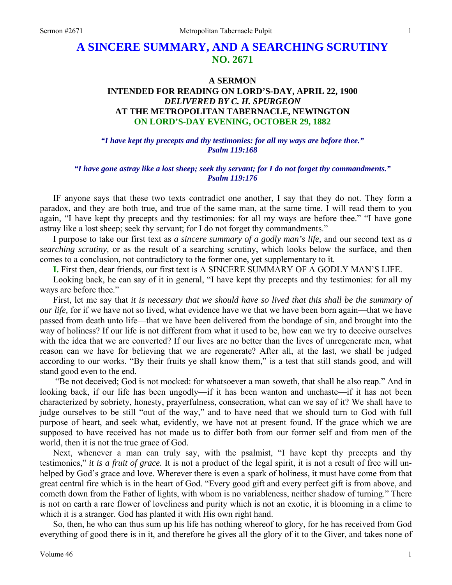# **A SINCERE SUMMARY, AND A SEARCHING SCRUTINY NO. 2671**

# **A SERMON INTENDED FOR READING ON LORD'S-DAY, APRIL 22, 1900**  *DELIVERED BY C. H. SPURGEON*  **AT THE METROPOLITAN TABERNACLE, NEWINGTON ON LORD'S-DAY EVENING, OCTOBER 29, 1882**

*"I have kept thy precepts and thy testimonies: for all my ways are before thee." Psalm 119:168* 

#### *"I have gone astray like a lost sheep; seek thy servant; for I do not forget thy commandments." Psalm 119:176*

IF anyone says that these two texts contradict one another, I say that they do not. They form a paradox, and they are both true, and true of the same man, at the same time. I will read them to you again, "I have kept thy precepts and thy testimonies: for all my ways are before thee." "I have gone astray like a lost sheep; seek thy servant; for I do not forget thy commandments."

I purpose to take our first text as *a sincere summary of a godly man's life,* and our second text as *a searching scrutiny,* or as the result of a searching scrutiny, which looks below the surface, and then comes to a conclusion, not contradictory to the former one, yet supplementary to it.

**I.** First then, dear friends, our first text is A SINCERE SUMMARY OF A GODLY MAN'S LIFE.

Looking back, he can say of it in general, "I have kept thy precepts and thy testimonies: for all my ways are before thee."

First, let me say that *it is necessary that we should have so lived that this shall be the summary of our life,* for if we have not so lived, what evidence have we that we have been born again—that we have passed from death unto life—that we have been delivered from the bondage of sin, and brought into the way of holiness? If our life is not different from what it used to be, how can we try to deceive ourselves with the idea that we are converted? If our lives are no better than the lives of unregenerate men, what reason can we have for believing that we are regenerate? After all, at the last, we shall be judged according to our works. "By their fruits ye shall know them," is a test that still stands good, and will stand good even to the end.

 "Be not deceived; God is not mocked: for whatsoever a man soweth, that shall he also reap." And in looking back, if our life has been ungodly—if it has been wanton and unchaste—if it has not been characterized by sobriety, honesty, prayerfulness, consecration, what can we say of it? We shall have to judge ourselves to be still "out of the way," and to have need that we should turn to God with full purpose of heart, and seek what, evidently, we have not at present found. If the grace which we are supposed to have received has not made us to differ both from our former self and from men of the world, then it is not the true grace of God.

Next, whenever a man can truly say, with the psalmist, "I have kept thy precepts and thy testimonies," *it is a fruit of grace.* It is not a product of the legal spirit, it is not a result of free will unhelped by God's grace and love. Wherever there is even a spark of holiness, it must have come from that great central fire which is in the heart of God. "Every good gift and every perfect gift is from above, and cometh down from the Father of lights, with whom is no variableness, neither shadow of turning." There is not on earth a rare flower of loveliness and purity which is not an exotic, it is blooming in a clime to which it is a stranger. God has planted it with His own right hand.

So, then, he who can thus sum up his life has nothing whereof to glory, for he has received from God everything of good there is in it, and therefore he gives all the glory of it to the Giver, and takes none of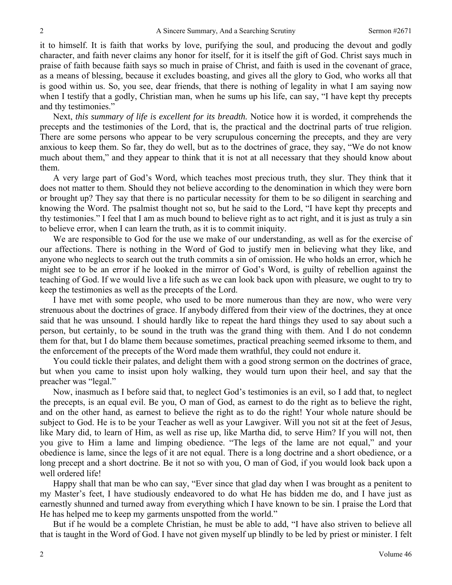it to himself. It is faith that works by love, purifying the soul, and producing the devout and godly character, and faith never claims any honor for itself, for it is itself the gift of God. Christ says much in praise of faith because faith says so much in praise of Christ, and faith is used in the covenant of grace, as a means of blessing, because it excludes boasting, and gives all the glory to God, who works all that is good within us. So, you see, dear friends, that there is nothing of legality in what I am saying now when I testify that a godly, Christian man, when he sums up his life, can say, "I have kept thy precepts and thy testimonies."

Next, *this summary of life is excellent for its breadth.* Notice how it is worded, it comprehends the precepts and the testimonies of the Lord, that is, the practical and the doctrinal parts of true religion. There are some persons who appear to be very scrupulous concerning the precepts, and they are very anxious to keep them. So far, they do well, but as to the doctrines of grace, they say, "We do not know much about them," and they appear to think that it is not at all necessary that they should know about them.

A very large part of God's Word, which teaches most precious truth, they slur. They think that it does not matter to them. Should they not believe according to the denomination in which they were born or brought up? They say that there is no particular necessity for them to be so diligent in searching and knowing the Word. The psalmist thought not so, but he said to the Lord, "I have kept thy precepts and thy testimonies." I feel that I am as much bound to believe right as to act right, and it is just as truly a sin to believe error, when I can learn the truth, as it is to commit iniquity.

We are responsible to God for the use we make of our understanding, as well as for the exercise of our affections. There is nothing in the Word of God to justify men in believing what they like, and anyone who neglects to search out the truth commits a sin of omission. He who holds an error, which he might see to be an error if he looked in the mirror of God's Word, is guilty of rebellion against the teaching of God. If we would live a life such as we can look back upon with pleasure, we ought to try to keep the testimonies as well as the precepts of the Lord.

I have met with some people, who used to be more numerous than they are now, who were very strenuous about the doctrines of grace. If anybody differed from their view of the doctrines, they at once said that he was unsound. I should hardly like to repeat the hard things they used to say about such a person, but certainly, to be sound in the truth was the grand thing with them. And I do not condemn them for that, but I do blame them because sometimes, practical preaching seemed irksome to them, and the enforcement of the precepts of the Word made them wrathful, they could not endure it.

You could tickle their palates, and delight them with a good strong sermon on the doctrines of grace, but when you came to insist upon holy walking, they would turn upon their heel, and say that the preacher was "legal."

Now, inasmuch as I before said that, to neglect God's testimonies is an evil, so I add that, to neglect the precepts, is an equal evil. Be you, O man of God, as earnest to do the right as to believe the right, and on the other hand, as earnest to believe the right as to do the right! Your whole nature should be subject to God. He is to be your Teacher as well as your Lawgiver. Will you not sit at the feet of Jesus, like Mary did, to learn of Him, as well as rise up, like Martha did, to serve Him? If you will not, then you give to Him a lame and limping obedience. "The legs of the lame are not equal," and your obedience is lame, since the legs of it are not equal. There is a long doctrine and a short obedience, or a long precept and a short doctrine. Be it not so with you, O man of God, if you would look back upon a well ordered life!

Happy shall that man be who can say, "Ever since that glad day when I was brought as a penitent to my Master's feet, I have studiously endeavored to do what He has bidden me do, and I have just as earnestly shunned and turned away from everything which I have known to be sin. I praise the Lord that He has helped me to keep my garments unspotted from the world."

But if he would be a complete Christian, he must be able to add, "I have also striven to believe all that is taught in the Word of God. I have not given myself up blindly to be led by priest or minister. I felt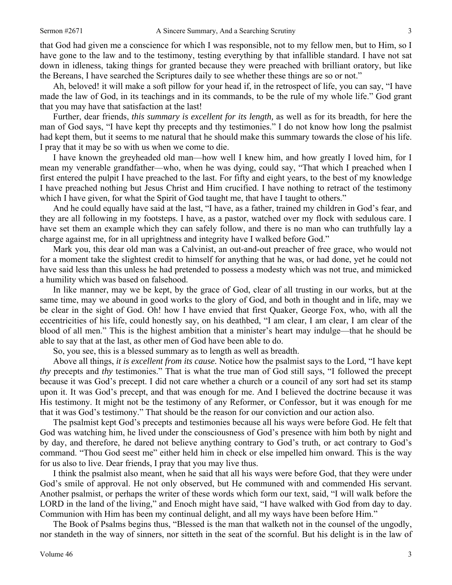that God had given me a conscience for which I was responsible, not to my fellow men, but to Him, so I have gone to the law and to the testimony, testing everything by that infallible standard. I have not sat down in idleness, taking things for granted because they were preached with brilliant oratory, but like the Bereans, I have searched the Scriptures daily to see whether these things are so or not."

Ah, beloved! it will make a soft pillow for your head if, in the retrospect of life, you can say, "I have made the law of God, in its teachings and in its commands, to be the rule of my whole life." God grant that you may have that satisfaction at the last!

Further, dear friends, *this summary is excellent for its length,* as well as for its breadth, for here the man of God says, "I have kept thy precepts and thy testimonies." I do not know how long the psalmist had kept them, but it seems to me natural that he should make this summary towards the close of his life. I pray that it may be so with us when we come to die.

I have known the greyheaded old man—how well I knew him, and how greatly I loved him, for I mean my venerable grandfather—who, when he was dying, could say, "That which I preached when I first entered the pulpit I have preached to the last. For fifty and eight years, to the best of my knowledge I have preached nothing but Jesus Christ and Him crucified. I have nothing to retract of the testimony which I have given, for what the Spirit of God taught me, that have I taught to others."

And he could equally have said at the last, "I have, as a father, trained my children in God's fear, and they are all following in my footsteps. I have, as a pastor, watched over my flock with sedulous care. I have set them an example which they can safely follow, and there is no man who can truthfully lay a charge against me, for in all uprightness and integrity have I walked before God."

Mark you, this dear old man was a Calvinist, an out-and-out preacher of free grace, who would not for a moment take the slightest credit to himself for anything that he was, or had done, yet he could not have said less than this unless he had pretended to possess a modesty which was not true, and mimicked a humility which was based on falsehood.

In like manner, may we be kept, by the grace of God, clear of all trusting in our works, but at the same time, may we abound in good works to the glory of God, and both in thought and in life, may we be clear in the sight of God. Oh! how I have envied that first Quaker, George Fox, who, with all the eccentricities of his life, could honestly say, on his deathbed, "I am clear, I am clear, I am clear of the blood of all men." This is the highest ambition that a minister's heart may indulge—that he should be able to say that at the last, as other men of God have been able to do.

So, you see, this is a blessed summary as to length as well as breadth.

Above all things, *it is excellent from its cause.* Notice how the psalmist says to the Lord, "I have kept *thy* precepts and *thy* testimonies." That is what the true man of God still says, "I followed the precept because it was God's precept. I did not care whether a church or a council of any sort had set its stamp upon it. It was God's precept, and that was enough for me. And I believed the doctrine because it was His testimony. It might not be the testimony of any Reformer, or Confessor, but it was enough for me that it was God's testimony." That should be the reason for our conviction and our action also.

The psalmist kept God's precepts and testimonies because all his ways were before God. He felt that God was watching him, he lived under the consciousness of God's presence with him both by night and by day, and therefore, he dared not believe anything contrary to God's truth, or act contrary to God's command. "Thou God seest me" either held him in check or else impelled him onward. This is the way for us also to live. Dear friends, I pray that you may live thus.

I think the psalmist also meant, when he said that all his ways were before God, that they were under God's smile of approval. He not only observed, but He communed with and commended His servant. Another psalmist, or perhaps the writer of these words which form our text, said, "I will walk before the LORD in the land of the living," and Enoch might have said, "I have walked with God from day to day. Communion with Him has been my continual delight, and all my ways have been before Him."

The Book of Psalms begins thus, "Blessed is the man that walketh not in the counsel of the ungodly, nor standeth in the way of sinners, nor sitteth in the seat of the scornful. But his delight is in the law of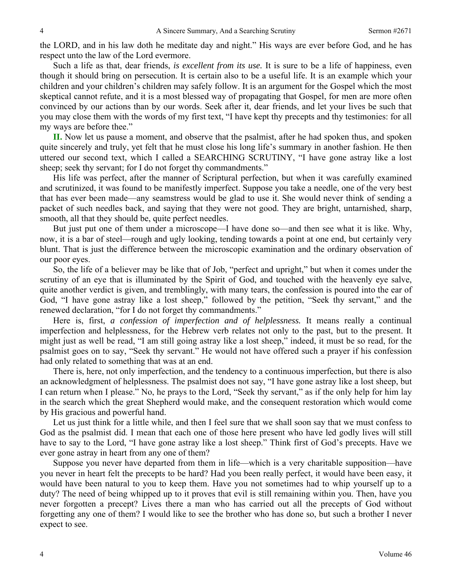the LORD, and in his law doth he meditate day and night." His ways are ever before God, and he has respect unto the law of the Lord evermore.

Such a life as that, dear friends, *is excellent from its use.* It is sure to be a life of happiness, even though it should bring on persecution. It is certain also to be a useful life. It is an example which your children and your children's children may safely follow. It is an argument for the Gospel which the most skeptical cannot refute, and it is a most blessed way of propagating that Gospel, for men are more often convinced by our actions than by our words. Seek after it, dear friends, and let your lives be such that you may close them with the words of my first text, "I have kept thy precepts and thy testimonies: for all my ways are before thee."

**II.** Now let us pause a moment, and observe that the psalmist, after he had spoken thus, and spoken quite sincerely and truly, yet felt that he must close his long life's summary in another fashion. He then uttered our second text, which I called a SEARCHING SCRUTINY, "I have gone astray like a lost sheep; seek thy servant; for I do not forget thy commandments."

His life was perfect, after the manner of Scriptural perfection, but when it was carefully examined and scrutinized, it was found to be manifestly imperfect. Suppose you take a needle, one of the very best that has ever been made—any seamstress would be glad to use it. She would never think of sending a packet of such needles back, and saying that they were not good. They are bright, untarnished, sharp, smooth, all that they should be, quite perfect needles.

But just put one of them under a microscope—I have done so—and then see what it is like. Why, now, it is a bar of steel—rough and ugly looking, tending towards a point at one end, but certainly very blunt. That is just the difference between the microscopic examination and the ordinary observation of our poor eyes.

So, the life of a believer may be like that of Job, "perfect and upright," but when it comes under the scrutiny of an eye that is illuminated by the Spirit of God, and touched with the heavenly eye salve, quite another verdict is given, and tremblingly, with many tears, the confession is poured into the ear of God, "I have gone astray like a lost sheep," followed by the petition, "Seek thy servant," and the renewed declaration, "for I do not forget thy commandments."

Here is, first, *a confession of imperfection and of helplessness.* It means really a continual imperfection and helplessness, for the Hebrew verb relates not only to the past, but to the present. It might just as well be read, "I am still going astray like a lost sheep," indeed, it must be so read, for the psalmist goes on to say, "Seek thy servant." He would not have offered such a prayer if his confession had only related to something that was at an end.

There is, here, not only imperfection, and the tendency to a continuous imperfection, but there is also an acknowledgment of helplessness. The psalmist does not say, "I have gone astray like a lost sheep, but I can return when I please." No, he prays to the Lord, "Seek thy servant," as if the only help for him lay in the search which the great Shepherd would make, and the consequent restoration which would come by His gracious and powerful hand.

Let us just think for a little while, and then I feel sure that we shall soon say that we must confess to God as the psalmist did. I mean that each one of those here present who have led godly lives will still have to say to the Lord, "I have gone astray like a lost sheep." Think first of God's precepts. Have we ever gone astray in heart from any one of them?

Suppose you never have departed from them in life—which is a very charitable supposition—have you never in heart felt the precepts to be hard? Had you been really perfect, it would have been easy, it would have been natural to you to keep them. Have you not sometimes had to whip yourself up to a duty? The need of being whipped up to it proves that evil is still remaining within you. Then, have you never forgotten a precept? Lives there a man who has carried out all the precepts of God without forgetting any one of them? I would like to see the brother who has done so, but such a brother I never expect to see.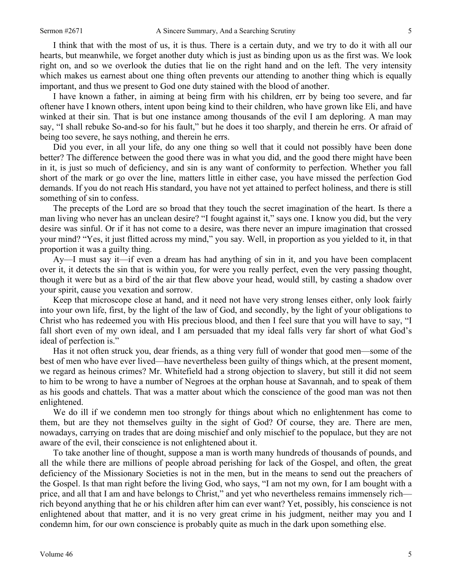I think that with the most of us, it is thus. There is a certain duty, and we try to do it with all our hearts, but meanwhile, we forget another duty which is just as binding upon us as the first was. We look right on, and so we overlook the duties that lie on the right hand and on the left. The very intensity which makes us earnest about one thing often prevents our attending to another thing which is equally important, and thus we present to God one duty stained with the blood of another.

I have known a father, in aiming at being firm with his children, err by being too severe, and far oftener have I known others, intent upon being kind to their children, who have grown like Eli, and have winked at their sin. That is but one instance among thousands of the evil I am deploring. A man may say, "I shall rebuke So-and-so for his fault," but he does it too sharply, and therein he errs. Or afraid of being too severe, he says nothing, and therein he errs.

Did you ever, in all your life, do any one thing so well that it could not possibly have been done better? The difference between the good there was in what you did, and the good there might have been in it, is just so much of deficiency, and sin is any want of conformity to perfection. Whether you fall short of the mark or go over the line, matters little in either case, you have missed the perfection God demands. If you do not reach His standard, you have not yet attained to perfect holiness, and there is still something of sin to confess.

The precepts of the Lord are so broad that they touch the secret imagination of the heart. Is there a man living who never has an unclean desire? "I fought against it," says one. I know you did, but the very desire was sinful. Or if it has not come to a desire, was there never an impure imagination that crossed your mind? "Yes, it just flitted across my mind," you say. Well, in proportion as you yielded to it, in that proportion it was a guilty thing.

Ay—I must say it—if even a dream has had anything of sin in it, and you have been complacent over it, it detects the sin that is within you, for were you really perfect, even the very passing thought, though it were but as a bird of the air that flew above your head, would still, by casting a shadow over your spirit, cause you vexation and sorrow.

Keep that microscope close at hand, and it need not have very strong lenses either, only look fairly into your own life, first, by the light of the law of God, and secondly, by the light of your obligations to Christ who has redeemed you with His precious blood, and then I feel sure that you will have to say, "I fall short even of my own ideal, and I am persuaded that my ideal falls very far short of what God's ideal of perfection is."

Has it not often struck you, dear friends, as a thing very full of wonder that good men—some of the best of men who have ever lived—have nevertheless been guilty of things which, at the present moment, we regard as heinous crimes? Mr. Whitefield had a strong objection to slavery, but still it did not seem to him to be wrong to have a number of Negroes at the orphan house at Savannah, and to speak of them as his goods and chattels. That was a matter about which the conscience of the good man was not then enlightened.

We do ill if we condemn men too strongly for things about which no enlightenment has come to them, but are they not themselves guilty in the sight of God? Of course, they are. There are men, nowadays, carrying on trades that are doing mischief and only mischief to the populace, but they are not aware of the evil, their conscience is not enlightened about it.

To take another line of thought, suppose a man is worth many hundreds of thousands of pounds, and all the while there are millions of people abroad perishing for lack of the Gospel, and often, the great deficiency of the Missionary Societies is not in the men, but in the means to send out the preachers of the Gospel. Is that man right before the living God, who says, "I am not my own, for I am bought with a price, and all that I am and have belongs to Christ," and yet who nevertheless remains immensely rich rich beyond anything that he or his children after him can ever want? Yet, possibly, his conscience is not enlightened about that matter, and it is no very great crime in his judgment, neither may you and I condemn him, for our own conscience is probably quite as much in the dark upon something else.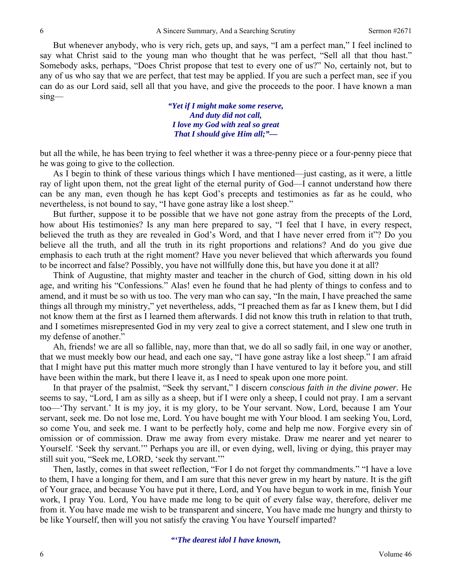But whenever anybody, who is very rich, gets up, and says, "I am a perfect man," I feel inclined to say what Christ said to the young man who thought that he was perfect, "Sell all that thou hast." Somebody asks, perhaps, "Does Christ propose that test to every one of us?" No, certainly not, but to any of us who say that we are perfect, that test may be applied. If you are such a perfect man, see if you can do as our Lord said, sell all that you have, and give the proceeds to the poor. I have known a man sing—

> *"Yet if I might make some reserve, And duty did not call, I love my God with zeal so great That I should give Him all;"—*

but all the while, he has been trying to feel whether it was a three-penny piece or a four-penny piece that he was going to give to the collection.

As I begin to think of these various things which I have mentioned—just casting, as it were, a little ray of light upon them, not the great light of the eternal purity of God—I cannot understand how there can be any man, even though he has kept God's precepts and testimonies as far as he could, who nevertheless, is not bound to say, "I have gone astray like a lost sheep."

But further, suppose it to be possible that we have not gone astray from the precepts of the Lord, how about His testimonies? Is any man here prepared to say, "I feel that I have, in every respect, believed the truth as they are revealed in God's Word, and that I have never erred from it"? Do you believe all the truth, and all the truth in its right proportions and relations? And do you give due emphasis to each truth at the right moment? Have you never believed that which afterwards you found to be incorrect and false? Possibly, you have not willfully done this, but have you done it at all?

Think of Augustine, that mighty master and teacher in the church of God, sitting down in his old age, and writing his "Confessions." Alas! even he found that he had plenty of things to confess and to amend, and it must be so with us too. The very man who can say, "In the main, I have preached the same things all through my ministry," yet nevertheless, adds, "I preached them as far as I knew them, but I did not know them at the first as I learned them afterwards. I did not know this truth in relation to that truth, and I sometimes misrepresented God in my very zeal to give a correct statement, and I slew one truth in my defense of another."

Ah, friends! we are all so fallible, nay, more than that, we do all so sadly fail, in one way or another, that we must meekly bow our head, and each one say, "I have gone astray like a lost sheep." I am afraid that I might have put this matter much more strongly than I have ventured to lay it before you, and still have been within the mark, but there I leave it, as I need to speak upon one more point.

In that prayer of the psalmist, "Seek thy servant," I discern *conscious faith in the divine power.* He seems to say, "Lord*,* I am as silly as a sheep, but if I were only a sheep, I could not pray. I am a servant too—'Thy servant.' It is my joy, it is my glory, to be Your servant. Now, Lord, because I am Your servant, seek me. Do not lose me, Lord. You have bought me with Your blood. I am seeking You, Lord, so come You, and seek me. I want to be perfectly holy, come and help me now. Forgive every sin of omission or of commission. Draw me away from every mistake. Draw me nearer and yet nearer to Yourself. 'Seek thy servant.'" Perhaps you are ill, or even dying, well, living or dying, this prayer may still suit you, "Seek me, LORD, 'seek thy servant.'"

Then, lastly, comes in that sweet reflection, "For I do not forget thy commandments." "I have a love to them, I have a longing for them, and I am sure that this never grew in my heart by nature. It is the gift of Your grace, and because You have put it there, Lord, and You have begun to work in me, finish Your work, I pray You. Lord, You have made me long to be quit of every false way, therefore, deliver me from it. You have made me wish to be transparent and sincere, You have made me hungry and thirsty to be like Yourself, then will you not satisfy the craving You have Yourself imparted?

*"'The dearest idol I have known,*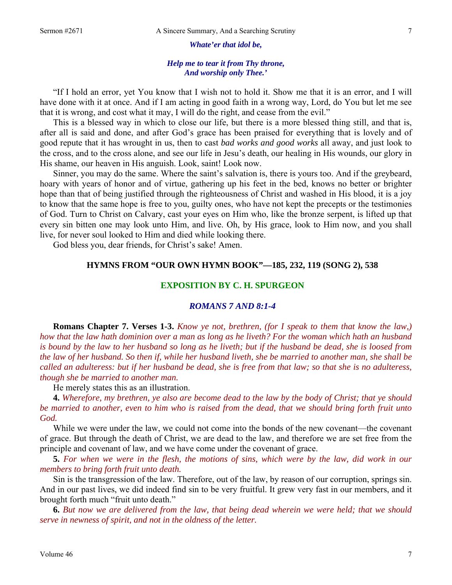*Whate'er that idol be,* 

### *Help me to tear it from Thy throne, And worship only Thee.'*

"If I hold an error, yet You know that I wish not to hold it. Show me that it is an error, and I will have done with it at once. And if I am acting in good faith in a wrong way, Lord, do You but let me see that it is wrong, and cost what it may, I will do the right, and cease from the evil."

This is a blessed way in which to close our life, but there is a more blessed thing still, and that is, after all is said and done, and after God's grace has been praised for everything that is lovely and of good repute that it has wrought in us, then to cast *bad works and good works* all away, and just look to the cross, and to the cross alone, and see our life in Jesu's death, our healing in His wounds, our glory in His shame, our heaven in His anguish. Look, saint! Look now.

Sinner, you may do the same. Where the saint's salvation is, there is yours too. And if the greybeard, hoary with years of honor and of virtue, gathering up his feet in the bed, knows no better or brighter hope than that of being justified through the righteousness of Christ and washed in His blood, it is a joy to know that the same hope is free to you, guilty ones, who have not kept the precepts or the testimonies of God. Turn to Christ on Calvary, cast your eyes on Him who, like the bronze serpent, is lifted up that every sin bitten one may look unto Him, and live. Oh, by His grace, look to Him now, and you shall live, for never soul looked to Him and died while looking there.

God bless you, dear friends, for Christ's sake! Amen.

#### **HYMNS FROM "OUR OWN HYMN BOOK"—185, 232, 119 (SONG 2), 538**

## **EXPOSITION BY C. H. SPURGEON**

### *ROMANS 7 AND 8:1-4*

**Romans Chapter 7. Verses 1-3.** *Know ye not, brethren, (for I speak to them that know the law,) how that the law hath dominion over a man as long as he liveth? For the woman which hath an husband is bound by the law to her husband so long as he liveth; but if the husband be dead, she is loosed from the law of her husband. So then if, while her husband liveth, she be married to another man, she shall be called an adulteress: but if her husband be dead, she is free from that law; so that she is no adulteress, though she be married to another man.* 

He merely states this as an illustration.

**4.** *Wherefore, my brethren, ye also are become dead to the law by the body of Christ; that ye should be married to another, even to him who is raised from the dead, that we should bring forth fruit unto God.* 

While we were under the law, we could not come into the bonds of the new covenant—the covenant of grace. But through the death of Christ, we are dead to the law, and therefore we are set free from the principle and covenant of law, and we have come under the covenant of grace.

**5.** *For when we were in the flesh, the motions of sins, which were by the law, did work in our members to bring forth fruit unto death.* 

Sin is the transgression of the law. Therefore, out of the law, by reason of our corruption, springs sin. And in our past lives, we did indeed find sin to be very fruitful. It grew very fast in our members, and it brought forth much "fruit unto death."

**6.** *But now we are delivered from the law, that being dead wherein we were held; that we should serve in newness of spirit, and not in the oldness of the letter.*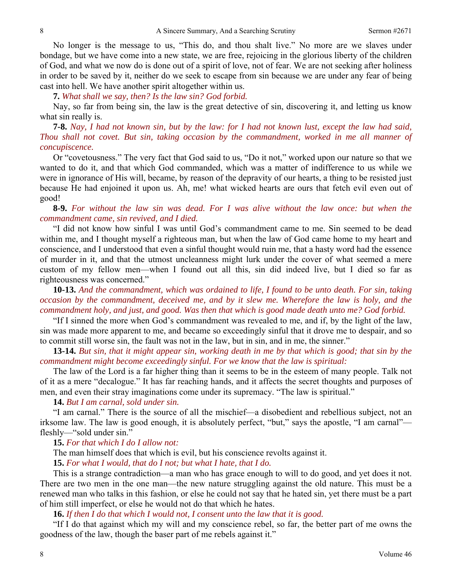No longer is the message to us, "This do, and thou shalt live." No more are we slaves under bondage, but we have come into a new state, we are free, rejoicing in the glorious liberty of the children of God, and what we now do is done out of a spirit of love, not of fear. We are not seeking after holiness in order to be saved by it, neither do we seek to escape from sin because we are under any fear of being cast into hell. We have another spirit altogether within us.

**7.** *What shall we say, then? Is the law sin? God forbid.* 

Nay, so far from being sin, the law is the great detective of sin, discovering it, and letting us know what sin really is.

**7-8.** *Nay, I had not known sin, but by the law: for I had not known lust, except the law had said, Thou shall not covet. But sin, taking occasion by the commandment, worked in me all manner of concupiscence.* 

Or "covetousness." The very fact that God said to us, "Do it not," worked upon our nature so that we wanted to do it, and that which God commanded, which was a matter of indifference to us while we were in ignorance of His will, became, by reason of the depravity of our hearts, a thing to be resisted just because He had enjoined it upon us. Ah, me! what wicked hearts are ours that fetch evil even out of good!

**8-9.** *For without the law sin was dead. For I was alive without the law once: but when the commandment came, sin revived, and I died.* 

"I did not know how sinful I was until God's commandment came to me. Sin seemed to be dead within me, and I thought myself a righteous man, but when the law of God came home to my heart and conscience, and I understood that even a sinful thought would ruin me, that a hasty word had the essence of murder in it, and that the utmost uncleanness might lurk under the cover of what seemed a mere custom of my fellow men—when I found out all this, sin did indeed live, but I died so far as righteousness was concerned."

**10-13.** *And the commandment, which was ordained to life, I found to be unto death. For sin, taking occasion by the commandment, deceived me, and by it slew me. Wherefore the law is holy, and the commandment holy, and just, and good. Was then that which is good made death unto me? God forbid.* 

"If I sinned the more when God's commandment was revealed to me, and if, by the light of the law, sin was made more apparent to me, and became so exceedingly sinful that it drove me to despair, and so to commit still worse sin, the fault was not in the law, but in sin, and in me, the sinner."

**13-14.** *But sin, that it might appear sin, working death in me by that which is good; that sin by the commandment might become exceedingly sinful. For we know that the law is spiritual:* 

The law of the Lord is a far higher thing than it seems to be in the esteem of many people. Talk not of it as a mere "decalogue." It has far reaching hands, and it affects the secret thoughts and purposes of men, and even their stray imaginations come under its supremacy. "The law is spiritual."

**14.** *But I am carnal, sold under sin.* 

"I am carnal." There is the source of all the mischief—a disobedient and rebellious subject, not an irksome law. The law is good enough, it is absolutely perfect, "but," says the apostle, "I am carnal" fleshly—"sold under sin."

**15.** *For that which I do I allow not:* 

The man himself does that which is evil, but his conscience revolts against it.

**15.** *For what I would, that do I not; but what I hate, that I do.* 

This is a strange contradiction—a man who has grace enough to will to do good, and yet does it not. There are two men in the one man—the new nature struggling against the old nature. This must be a renewed man who talks in this fashion, or else he could not say that he hated sin, yet there must be a part of him still imperfect, or else he would not do that which he hates.

#### **16.** *If then I do that which I would not, I consent unto the law that it is good.*

"If I do that against which my will and my conscience rebel, so far, the better part of me owns the goodness of the law, though the baser part of me rebels against it."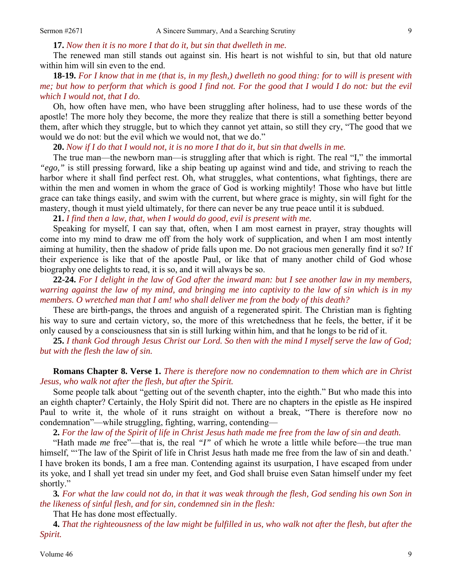**17.** *Now then it is no more I that do it, but sin that dwelleth in me.* 

The renewed man still stands out against sin. His heart is not wishful to sin, but that old nature within him will sin even to the end.

# **18-19.** *For I know that in me (that is, in my flesh,) dwelleth no good thing: for to will is present with me; but how to perform that which is good I find not. For the good that I would I do not: but the evil which I would not, that I do.*

Oh, how often have men, who have been struggling after holiness, had to use these words of the apostle! The more holy they become, the more they realize that there is still a something better beyond them, after which they struggle, but to which they cannot yet attain, so still they cry, "The good that we would we do not: but the evil which we would not, that we do."

**20.** *Now if I do that I would not, it is no more I that do it, but sin that dwells in me.* 

The true man—the newborn man—is struggling after that which is right. The real "I*,*" the immortal *"ego,"* is still pressing forward, like a ship beating up against wind and tide, and striving to reach the harbor where it shall find perfect rest. Oh, what struggles, what contentions, what fightings, there are within the men and women in whom the grace of God is working mightily! Those who have but little grace can take things easily, and swim with the current, but where grace is mighty, sin will fight for the mastery, though it must yield ultimately, for there can never be any true peace until it is subdued.

**21.** *I find then a law, that, when I would do good, evil is present with me.* 

Speaking for myself, I can say that, often, when I am most earnest in prayer, stray thoughts will come into my mind to draw me off from the holy work of supplication, and when I am most intently aiming at humility, then the shadow of pride falls upon me. Do not gracious men generally find it so? If their experience is like that of the apostle Paul, or like that of many another child of God whose biography one delights to read, it is so, and it will always be so.

**22-24.** *For I delight in the law of God after the inward man: but I see another law in my members, warring against the law of my mind, and bringing me into captivity to the law of sin which is in my members. O wretched man that I am! who shall deliver me from the body of this death?* 

These are birth-pangs, the throes and anguish of a regenerated spirit. The Christian man is fighting his way to sure and certain victory, so, the more of this wretchedness that he feels, the better, if it be only caused by a consciousness that sin is still lurking within him, and that he longs to be rid of it.

**25.** *I thank God through Jesus Christ our Lord. So then with the mind I myself serve the law of God; but with the flesh the law of sin.* 

**Romans Chapter 8. Verse 1.** *There is therefore now no condemnation to them which are in Christ Jesus, who walk not after the flesh, but after the Spirit.* 

Some people talk about "getting out of the seventh chapter, into the eighth." But who made this into an eighth chapter? Certainly, the Holy Spirit did not. There are no chapters in the epistle as He inspired Paul to write it, the whole of it runs straight on without a break, "There is therefore now no condemnation"—while struggling, fighting, warring, contending—

**2.** *For the law of the Spirit of life in Christ Jesus hath made me free from the law of sin and death.* 

"Hath made *me* free"—that is, the real *"I"* of which he wrote a little while before—the true man himself, "The law of the Spirit of life in Christ Jesus hath made me free from the law of sin and death.' I have broken its bonds, I am a free man. Contending against its usurpation, I have escaped from under its yoke, and I shall yet tread sin under my feet, and God shall bruise even Satan himself under my feet shortly."

**3***. For what the law could not do, in that it was weak through the flesh, God sending his own Son in the likeness of sinful flesh, and for sin, condemned sin in the flesh:* 

That He has done most effectually.

**4.** *That the righteousness of the law might be fulfilled in us, who walk not after the flesh, but after the Spirit.*